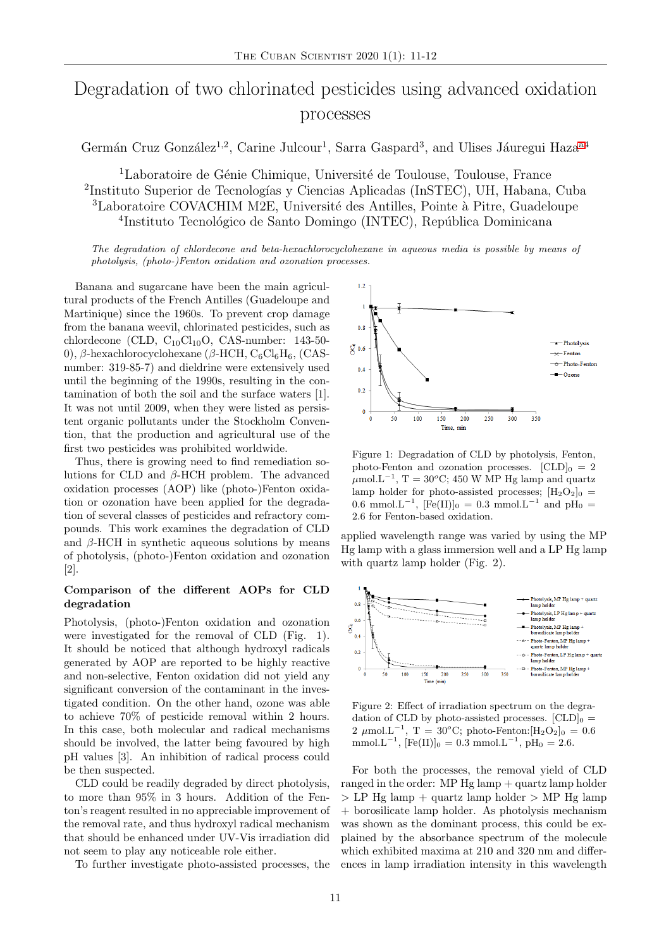# Degradation of two chlorinated pesticides using advanced oxidation processes

Germán Cruz González<sup>1,2</sup>, Carine Julcour<sup>1</sup>, Sarra Gaspard<sup>3</sup>, and Ulises Jáuregui Haza<sup>[a4](#page-1-0)</sup>

<sup>1</sup>Laboratoire de Génie Chimique, Université de Toulouse, Toulouse, France <sup>2</sup>Instituto Superior de Tecnologías y Ciencias Aplicadas (InSTEC), UH, Habana, Cuba <sup>3</sup>Laboratoire COVACHIM M2E, Université des Antilles, Pointe à Pitre, Guadeloupe <sup>4</sup>Instituto Tecnológico de Santo Domingo (INTEC), República Dominicana

The degradation of chlordecone and beta-hexachlorocyclohexane in aqueous media is possible by means of photolysis, (photo-)Fenton oxidation and ozonation processes.

Banana and sugarcane have been the main agricultural products of the French Antilles (Guadeloupe and Martinique) since the 1960s. To prevent crop damage from the banana weevil, chlorinated pesticides, such as chlordecone (CLD,  $C_{10}Cl_{10}O$ , CAS-number: 143-50-0), β-hexachlorocyclohexane (β-HCH,  $C_6Cl_6H_6$ , (CASnumber: 319-85-7) and dieldrine were extensively used until the beginning of the 1990s, resulting in the contamination of both the soil and the surface waters [1]. It was not until 2009, when they were listed as persistent organic pollutants under the Stockholm Convention, that the production and agricultural use of the first two pesticides was prohibited worldwide.

Thus, there is growing need to find remediation solutions for CLD and  $\beta$ -HCH problem. The advanced oxidation processes (AOP) like (photo-)Fenton oxidation or ozonation have been applied for the degradation of several classes of pesticides and refractory compounds. This work examines the degradation of CLD and  $\beta$ -HCH in synthetic aqueous solutions by means of photolysis, (photo-)Fenton oxidation and ozonation [2].

# Comparison of the different AOPs for CLD degradation

Photolysis, (photo-)Fenton oxidation and ozonation were investigated for the removal of CLD (Fig. 1). It should be noticed that although hydroxyl radicals generated by AOP are reported to be highly reactive and non-selective, Fenton oxidation did not yield any significant conversion of the contaminant in the investigated condition. On the other hand, ozone was able to achieve 70% of pesticide removal within 2 hours. In this case, both molecular and radical mechanisms should be involved, the latter being favoured by high pH values [3]. An inhibition of radical process could be then suspected.

CLD could be readily degraded by direct photolysis, to more than 95% in 3 hours. Addition of the Fenton's reagent resulted in no appreciable improvement of the removal rate, and thus hydroxyl radical mechanism that should be enhanced under UV-Vis irradiation did not seem to play any noticeable role either.

To further investigate photo-assisted processes, the



Figure 1: Degradation of CLD by photolysis, Fenton, photo-Fenton and ozonation processes.  $[CLD]_0 = 2$  $\mu$ mol.L<sup>-1</sup>, T = 30<sup>o</sup>C; 450 W MP Hg lamp and quartz lamp holder for photo-assisted processes;  $[H_2O_2]_0$  = 0.6 mmol.L<sup>-1</sup>, [Fe(II)]<sub>0</sub> = 0.3 mmol.L<sup>-1</sup> and pH<sub>0</sub> = 2.6 for Fenton-based oxidation.

applied wavelength range was varied by using the MP Hg lamp with a glass immersion well and a LP Hg lamp with quartz lamp holder (Fig. 2).



Figure 2: Effect of irradiation spectrum on the degradation of CLD by photo-assisted processes.  $[CLD]_0 =$ 2 μmol.L<sup>-1</sup>, T = 30<sup>o</sup>C; photo-Fenton:[H<sub>2</sub>O<sub>2</sub>]<sub>0</sub> = 0.6 mmol.L<sup>-1</sup>, [Fe(II)]<sub>0</sub> = 0.3 mmol.L<sup>-1</sup>, pH<sub>0</sub> = 2.6.

For both the processes, the removal yield of CLD ranged in the order: MP  $Hg$  lamp  $+$  quartz lamp holder  $>$  LP Hg lamp + quartz lamp holder  $>$  MP Hg lamp + borosilicate lamp holder. As photolysis mechanism was shown as the dominant process, this could be explained by the absorbance spectrum of the molecule which exhibited maxima at 210 and 320 nm and differences in lamp irradiation intensity in this wavelength